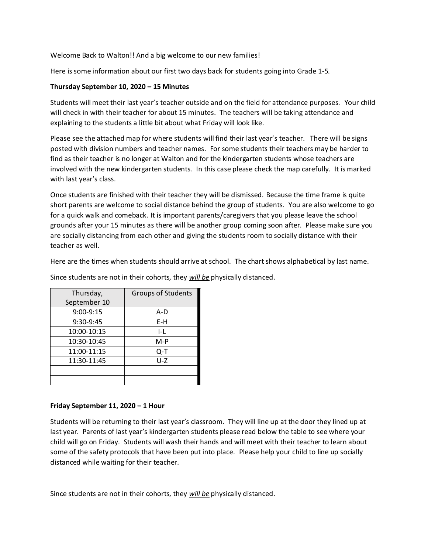Welcome Back to Walton!! And a big welcome to our new families!

Here is some information about our first two days back for students going into Grade 1-5.

## **Thursday September 10, 2020 – 15 Minutes**

Students will meet their last year's teacher outside and on the field for attendance purposes. Your child will check in with their teacher for about 15 minutes. The teachers will be taking attendance and explaining to the students a little bit about what Friday will look like.

Please see the attached map for where students will find their last year's teacher. There will be signs posted with division numbers and teacher names. For some students their teachers may be harder to find as their teacher is no longer at Walton and for the kindergarten students whose teachers are involved with the new kindergarten students. In this case please check the map carefully. It is marked with last year's class.

Once students are finished with their teacher they will be dismissed. Because the time frame is quite short parents are welcome to social distance behind the group of students. You are also welcome to go for a quick walk and comeback. It is important parents/caregivers that you please leave the school grounds after your 15 minutes as there will be another group coming soon after. Please make sure you are socially distancing from each other and giving the students room to socially distance with their teacher as well.

Here are the times when students should arrive at school. The chart shows alphabetical by last name.

| Thursday,    | <b>Groups of Students</b> |
|--------------|---------------------------|
| September 10 |                           |
| 9:00-9:15    | A-D                       |
| 9:30-9:45    | E-H                       |
| 10:00-10:15  | I-L                       |
| 10:30-10:45  | $M-P$                     |
| 11:00-11:15  | Q-T                       |
| 11:30-11:45  | U-Z                       |
|              |                           |
|              |                           |

Since students are not in their cohorts, they *will be* physically distanced.

## **Friday September 11, 2020 – 1 Hour**

Students will be returning to their last year's classroom. They will line up at the door they lined up at last year. Parents of last year's kindergarten students please read below the table to see where your child will go on Friday. Students will wash their hands and will meet with their teacher to learn about some of the safety protocols that have been put into place. Please help your child to line up socially distanced while waiting for their teacher.

Since students are not in their cohorts, they *will be* physically distanced.